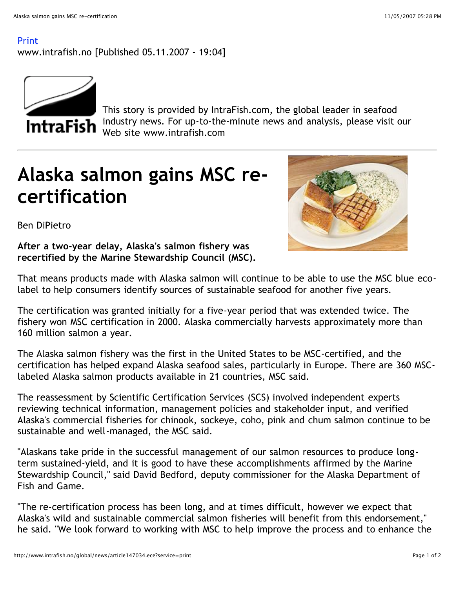## Print

www.intrafish.no [Published 05.11.2007 - 19:04]



This story is provided by IntraFish.com, the global leader in seafood industry news. For up-to-the-minute news and analysis, please visit our Web site www.intrafish.com

## **Alaska salmon gains MSC recertification**



Ben DiPietro

**After a two-year delay, Alaska's salmon fishery was recertified by the Marine Stewardship Council (MSC).**

That means products made with Alaska salmon will continue to be able to use the MSC blue ecolabel to help consumers identify sources of sustainable seafood for another five years.

The certification was granted initially for a five-year period that was extended twice. The fishery won MSC certification in 2000. Alaska commercially harvests approximately more than 160 million salmon a year.

The Alaska salmon fishery was the first in the United States to be MSC-certified, and the certification has helped expand Alaska seafood sales, particularly in Europe. There are 360 MSClabeled Alaska salmon products available in 21 countries, MSC said.

The reassessment by Scientific Certification Services (SCS) involved independent experts reviewing technical information, management policies and stakeholder input, and verified Alaska's commercial fisheries for chinook, sockeye, coho, pink and chum salmon continue to be sustainable and well-managed, the MSC said.

"Alaskans take pride in the successful management of our salmon resources to produce longterm sustained-yield, and it is good to have these accomplishments affirmed by the Marine Stewardship Council," said David Bedford, deputy commissioner for the Alaska Department of Fish and Game.

"The re-certification process has been long, and at times difficult, however we expect that Alaska's wild and sustainable commercial salmon fisheries will benefit from this endorsement," he said. "We look forward to working with MSC to help improve the process and to enhance the